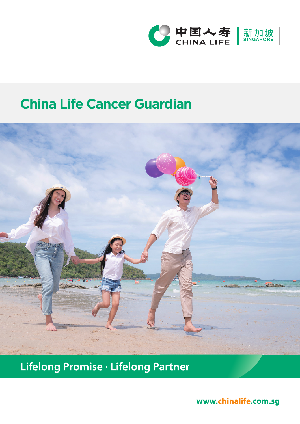

# **China Life Cancer Guardian**



Lifelong Promise · Lifelong Partner

www.chinalife.com.sg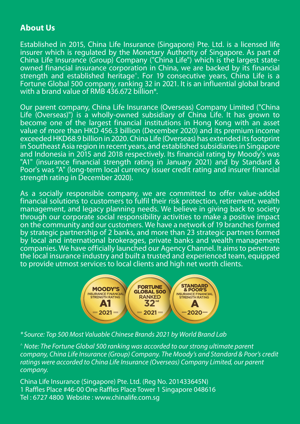#### **About Us**

Established in 2015, China Life Insurance (Singapore) Pte. Ltd. is a licensed life insurer which is regulated by the Monetary Authority of Singapore. As part of China Life Insurance (Group) Company ("China Life") which is the largest stateowned financial insurance corporation in China, we are backed by its financial strength and established heritage<sup>^</sup>. For 19 consecutive years, China Life is a Fortune Global 500 company, ranking 32 in 2021. It is an influential global brand with a brand value of RMB 436.672 billion\*.

Our parent company, China Life Insurance (Overseas) Company Limited ("China Life (Overseas)") is a wholly-owned subsidiary of China Life. It has grown to become one of the largest financial institutions in Hong Kong with an asset value of more than HKD 456.3 billion (December 2020) and its premium income exceeded HKD68.9 billion in 2020. China Life (Overseas) has extended its footprint in Southeast Asia region in recent years, and established subsidiaries in Singapore and Indonesia in 2015 and 2018 respectively. Its financial rating by Moody's was "A1" (insurance financial strength rating in January 2021) and by Standard & Poor's was "A" (long-term local currency issuer credit rating and insurer financial strength rating in December 2020).

As a socially responsible company, we are committed to offer value-added financial solutions to customers to fulfil their risk protection, retirement, wealth management, and legacy planning needs. We believe in giving back to society through our corporate social responsibility activities to make a positive impact on the community and our customers. We have a network of 19 branches formed by strategic partnership of 2 banks, and more than 23 strategic partners formed by local and international brokerages, private banks and wealth management companies. We have officially launched our Agency Channel. It aims to penetrate the local insurance industry and built a trusted and experienced team, equipped to provide utmost services to local clients and high net worth clients.



*\*Source: Top 500 Most Valuable Chinese Brands 2021 by World Brand Lab*

*^ Note: The Fortune Global 500 ranking was accorded to our strong ultimate parent company, China Life Insurance (Group) Company. The Moody's and Standard & Poor's credit ratings were accorded to China Life Insurance (Overseas) Company Limited, our parent company.*

China Life Insurance (Singapore) Pte. Ltd. (Reg No. 201433645N) 1 Raffles Place #46-00 One Raffles Place Tower 1 Singapore 048616 Tel : 6727 4800 Website : www.chinalife.com.sg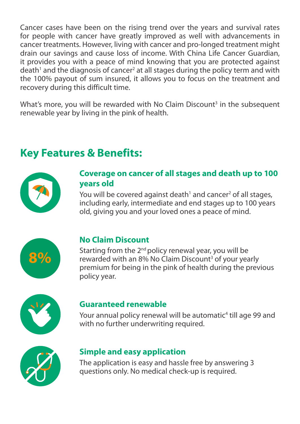Cancer cases have been on the rising trend over the years and survival rates for people with cancer have greatly improved as well with advancements in cancer treatments. However, living with cancer and pro-longed treatment might drain our savings and cause loss of income. With China Life Cancer Guardian, it provides you with a peace of mind knowing that you are protected against death<sup>1</sup> and the diagnosis of cancer<sup>2</sup> at all stages during the policy term and with the 100% payout of sum insured, it allows you to focus on the treatment and recovery during this difficult time.

What's more, you will be rewarded with No Claim Discount<sup>3</sup> in the subsequent renewable year by living in the pink of health.

## **Key Features & Benefits:**



### **Coverage on cancer of all stages and death up to 100 years old**

You will be covered against death<sup>1</sup> and cancer<sup>2</sup> of all stages, including early, intermediate and end stages up to 100 years old, giving you and your loved ones a peace of mind.



### **No Claim Discount**

Starting from the  $2<sup>nd</sup>$  policy renewal year, you will be rewarded with an 8% No Claim Discount<sup>3</sup> of your yearly premium for being in the pink of health during the previous policy year.



#### **Guaranteed renewable**

Your annual policy renewal will be automatic<sup>4</sup> till age 99 and with no further underwriting required.



### **Simple and easy application**

The application is easy and hassle free by answering 3 questions only. No medical check-up is required.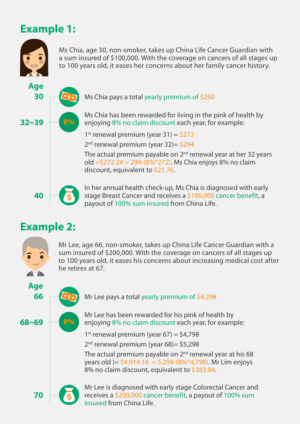## **Example 1:**



Ms Chia, age 30, non-smoker, takes up China Life Cancer Guardian with a sum insured of \$100,000. With the coverage on cancers of all stages up to 100 years old, it eases her concerns about her family cancer history.



Ms Chia pays a total yearly premium of \$250

Ms Chia has been rewarded for living in the pink of health by enjoying 8% no claim discount each year, for example:

1<sup>st</sup> renewal premium (year 31) =  $$272$ 

 $2<sup>nd</sup>$  renewal premium (year 32) = \$294

The actual premium payable on  $2<sup>nd</sup>$  renewal year at her 32 years old =\$272.24 = 294-(8%\*272). Ms Chia enjoys 8% no claim discount, equivalent to \$21.76.

In her annual health check-up, Ms Chia is diagnosed with early stage Breast Cancer and receives a \$100,000 cancer benefit, a payout of 100% sum insured from China Life.

## **Example 2:**

**40**



**66 Age**

**68~69**

Mr Lee, age 66, non-smoker, takes up China Life Cancer Guardian with a sum insured of \$200,000. With the coverage on cancers of all stages up to 100 years old, it eases his concerns about increasing medical cost after he retires at 67.



Mr Lee has been rewarded for his pink of health by enjoying 8% no claim discount each year, for example:

1<sup>st</sup> renewal premium (year 67) =  $$4,798$  $2<sup>nd</sup>$  renewal premium (year 68) = \$5,298

The actual premium payable on 2<sup>nd</sup> renewal year at his 68 vears old  $=$  \$4,914.16  $=$  5,298-(8%\*4,798). Mr Lim enjoys 8% no claim discount, equivalent to \$383.84.



**8%**

Mr Lee is diagnosed with early stage Colorectal Cancer and receives a \$200,000 cancer benefit, a payout of 100% sum insured from China Life.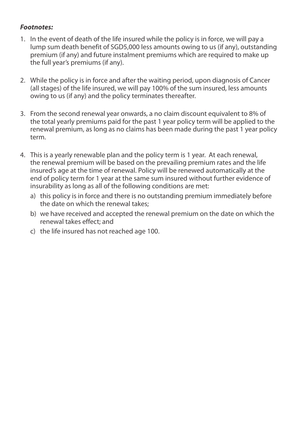#### *Footnotes:*

- 1. In the event of death of the life insured while the policy is in force, we will pay a lump sum death benefit of SGD5,000 less amounts owing to us (if any), outstanding premium (if any) and future instalment premiums which are required to make up the full year's premiums (if any).
- 2. While the policy is in force and after the waiting period, upon diagnosis of Cancer (all stages) of the life insured, we will pay 100% of the sum insured, less amounts owing to us (if any) and the policy terminates thereafter.
- 3. From the second renewal year onwards, a no claim discount equivalent to 8% of the total yearly premiums paid for the past 1 year policy term will be applied to the renewal premium, as long as no claims has been made during the past 1 year policy term.
- 4. This is a yearly renewable plan and the policy term is 1 year. At each renewal, the renewal premium will be based on the prevailing premium rates and the life insured's age at the time of renewal. Policy will be renewed automatically at the end of policy term for 1 year at the same sum insured without further evidence of insurability as long as all of the following conditions are met:
	- a) this policy is in force and there is no outstanding premium immediately before the date on which the renewal takes;
	- b) we have received and accepted the renewal premium on the date on which the renewal takes effect; and
	- c) the life insured has not reached age 100.